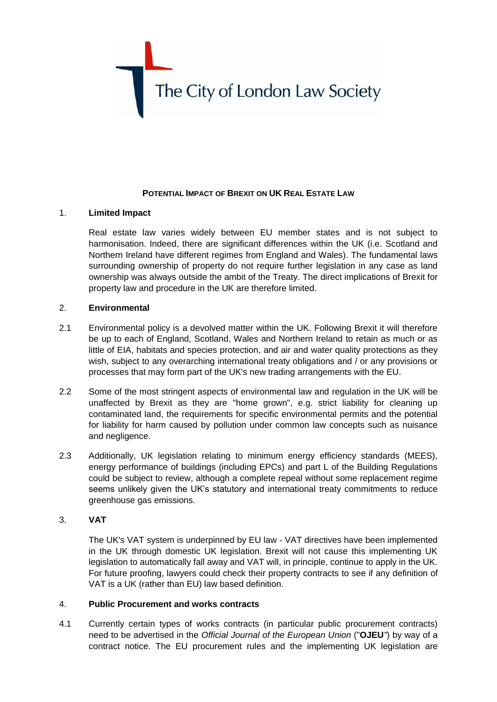

### **POTENTIAL IMPACT OF BREXIT ON UK REAL ESTATE LAW**

## 1. **Limited Impact**

Real estate law varies widely between EU member states and is not subject to harmonisation. Indeed, there are significant differences within the UK (i.e. Scotland and Northern Ireland have different regimes from England and Wales). The fundamental laws surrounding ownership of property do not require further legislation in any case as land ownership was always outside the ambit of the Treaty. The direct implications of Brexit for property law and procedure in the UK are therefore limited.

# 2. **Environmental**

- 2.1 Environmental policy is a devolved matter within the UK. Following Brexit it will therefore be up to each of England, Scotland, Wales and Northern Ireland to retain as much or as little of EIA, habitats and species protection, and air and water quality protections as they wish, subject to any overarching international treaty obligations and / or any provisions or processes that may form part of the UK's new trading arrangements with the EU.
- 2.2 Some of the most stringent aspects of environmental law and regulation in the UK will be unaffected by Brexit as they are "home grown", e.g. strict liability for cleaning up contaminated land, the requirements for specific environmental permits and the potential for liability for harm caused by pollution under common law concepts such as nuisance and negligence.
- 2.3 Additionally, UK legislation relating to minimum energy efficiency standards (MEES), energy performance of buildings (including EPCs) and part L of the Building Regulations could be subject to review, although a complete repeal without some replacement regime seems unlikely given the UK's statutory and international treaty commitments to reduce greenhouse gas emissions.

### 3. **VAT**

The UK's VAT system is underpinned by EU law - VAT directives have been implemented in the UK through domestic UK legislation. Brexit will not cause this implementing UK legislation to automatically fall away and VAT will, in principle, continue to apply in the UK. For future proofing, lawyers could check their property contracts to see if any definition of VAT is a UK (rather than EU) law based definition.

### 4. **Public Procurement and works contracts**

4.1 Currently certain types of works contracts (in particular public procurement contracts) need to be advertised in the *Official Journal of the European Union* ("**OJEU***"*) by way of a contract notice. The EU procurement rules and the implementing UK legislation are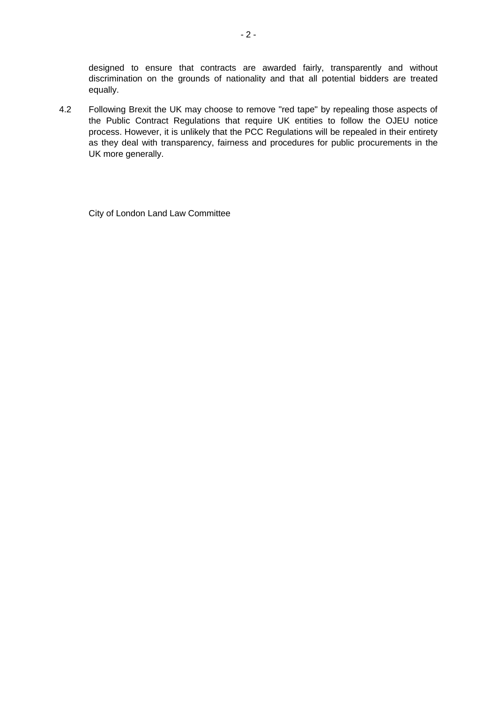designed to ensure that contracts are awarded fairly, transparently and without discrimination on the grounds of nationality and that all potential bidders are treated equally.

4.2 Following Brexit the UK may choose to remove "red tape" by repealing those aspects of the Public Contract Regulations that require UK entities to follow the OJEU notice process. However, it is unlikely that the PCC Regulations will be repealed in their entirety as they deal with transparency, fairness and procedures for public procurements in the UK more generally.

City of London Land Law Committee